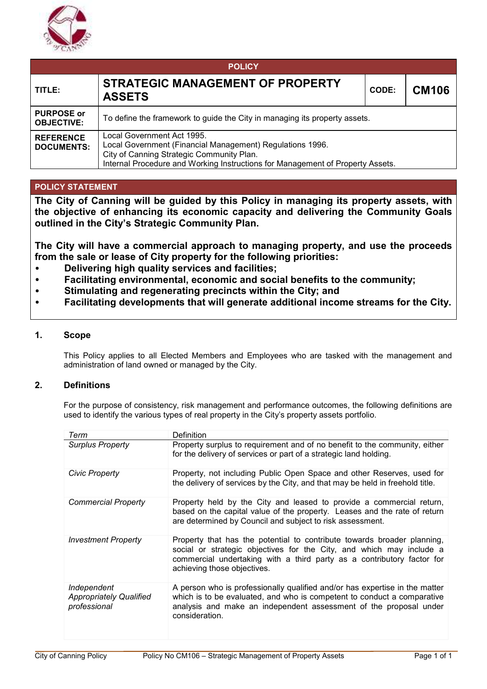

| <b>POLICY</b>                          |                                                                                                                                                                                                                        |       |              |  |  |  |  |  |
|----------------------------------------|------------------------------------------------------------------------------------------------------------------------------------------------------------------------------------------------------------------------|-------|--------------|--|--|--|--|--|
| TITLE:                                 | STRATEGIC MANAGEMENT OF PROPERTY<br><b>ASSETS</b>                                                                                                                                                                      | CODE: | <b>CM106</b> |  |  |  |  |  |
| <b>PURPOSE or</b><br><b>OBJECTIVE:</b> | To define the framework to guide the City in managing its property assets.                                                                                                                                             |       |              |  |  |  |  |  |
| <b>REFERENCE</b><br><b>DOCUMENTS:</b>  | Local Government Act 1995.<br>Local Government (Financial Management) Regulations 1996.<br>City of Canning Strategic Community Plan.<br>Internal Procedure and Working Instructions for Management of Property Assets. |       |              |  |  |  |  |  |

# **POLICY STATEMENT**

**The City of Canning will be guided by this Policy in managing its property assets, with the objective of enhancing its economic capacity and delivering the Community Goals outlined in the City's Strategic Community Plan.** 

**The City will have a commercial approach to managing property, and use the proceeds from the sale or lease of City property for the following priorities:** 

- **Delivering high quality services and facilities;**
- **Facilitating environmental, economic and social benefits to the community;**
- **Stimulating and regenerating precincts within the City; and**
- **Facilitating developments that will generate additional income streams for the City.**

### **1. Scope**

This Policy applies to all Elected Members and Employees who are tasked with the management and administration of land owned or managed by the City.

### **2. Definitions**

For the purpose of consistency, risk management and performance outcomes, the following definitions are used to identify the various types of real property in the City's property assets portfolio.

| Term                                                          | Definition                                                                                                                                                                                                                                               |
|---------------------------------------------------------------|----------------------------------------------------------------------------------------------------------------------------------------------------------------------------------------------------------------------------------------------------------|
| <b>Surplus Property</b>                                       | Property surplus to requirement and of no benefit to the community, either<br>for the delivery of services or part of a strategic land holding.                                                                                                          |
| Civic Property                                                | Property, not including Public Open Space and other Reserves, used for<br>the delivery of services by the City, and that may be held in freehold title.                                                                                                  |
| Commercial Property                                           | Property held by the City and leased to provide a commercial return,<br>based on the capital value of the property. Leases and the rate of return<br>are determined by Council and subject to risk assessment.                                           |
| <b>Investment Property</b>                                    | Property that has the potential to contribute towards broader planning,<br>social or strategic objectives for the City, and which may include a<br>commercial undertaking with a third party as a contributory factor for<br>achieving those objectives. |
| Independent<br><b>Appropriately Qualified</b><br>professional | A person who is professionally qualified and/or has expertise in the matter<br>which is to be evaluated, and who is competent to conduct a comparative<br>analysis and make an independent assessment of the proposal under<br>consideration.            |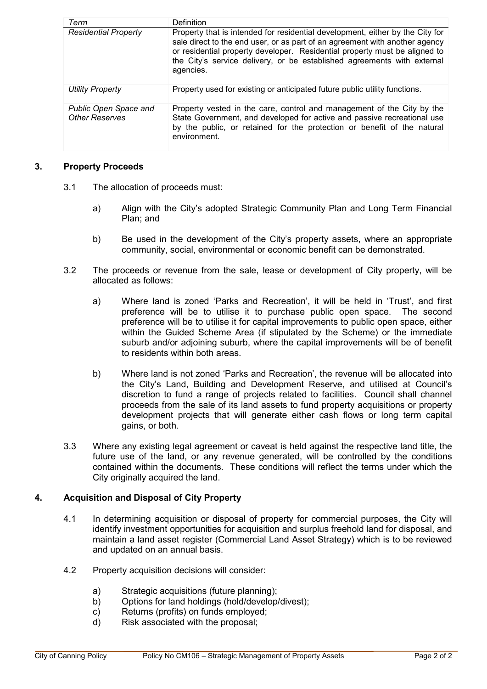| Term                                                  | <b>Definition</b>                                                                                                                                                                                                                                                                                                                  |
|-------------------------------------------------------|------------------------------------------------------------------------------------------------------------------------------------------------------------------------------------------------------------------------------------------------------------------------------------------------------------------------------------|
| <b>Residential Property</b>                           | Property that is intended for residential development, either by the City for<br>sale direct to the end user, or as part of an agreement with another agency<br>or residential property developer. Residential property must be aligned to<br>the City's service delivery, or be established agreements with external<br>agencies. |
| <b>Utility Property</b>                               | Property used for existing or anticipated future public utility functions.                                                                                                                                                                                                                                                         |
| <b>Public Open Space and</b><br><b>Other Reserves</b> | Property vested in the care, control and management of the City by the<br>State Government, and developed for active and passive recreational use<br>by the public, or retained for the protection or benefit of the natural<br>environment.                                                                                       |

# **3. Property Proceeds**

- 3.1 The allocation of proceeds must:
	- a) Align with the City's adopted Strategic Community Plan and Long Term Financial Plan; and
	- b) Be used in the development of the City's property assets, where an appropriate community, social, environmental or economic benefit can be demonstrated.
- 3.2 The proceeds or revenue from the sale, lease or development of City property, will be allocated as follows:
	- a) Where land is zoned 'Parks and Recreation', it will be held in 'Trust', and first preference will be to utilise it to purchase public open space. The second preference will be to utilise it for capital improvements to public open space, either within the Guided Scheme Area (if stipulated by the Scheme) or the immediate suburb and/or adjoining suburb, where the capital improvements will be of benefit to residents within both areas.
	- b) Where land is not zoned 'Parks and Recreation', the revenue will be allocated into the City's Land, Building and Development Reserve, and utilised at Council's discretion to fund a range of projects related to facilities. Council shall channel proceeds from the sale of its land assets to fund property acquisitions or property development projects that will generate either cash flows or long term capital gains, or both.
- 3.3 Where any existing legal agreement or caveat is held against the respective land title, the future use of the land, or any revenue generated, will be controlled by the conditions contained within the documents. These conditions will reflect the terms under which the City originally acquired the land.

# **4. Acquisition and Disposal of City Property**

- 4.1 In determining acquisition or disposal of property for commercial purposes, the City will identify investment opportunities for acquisition and surplus freehold land for disposal, and maintain a land asset register (Commercial Land Asset Strategy) which is to be reviewed and updated on an annual basis.
- 4.2 Property acquisition decisions will consider:
	- a) Strategic acquisitions (future planning);
	- b) Options for land holdings (hold/develop/divest);
	- c) Returns (profits) on funds employed;
	- d) Risk associated with the proposal;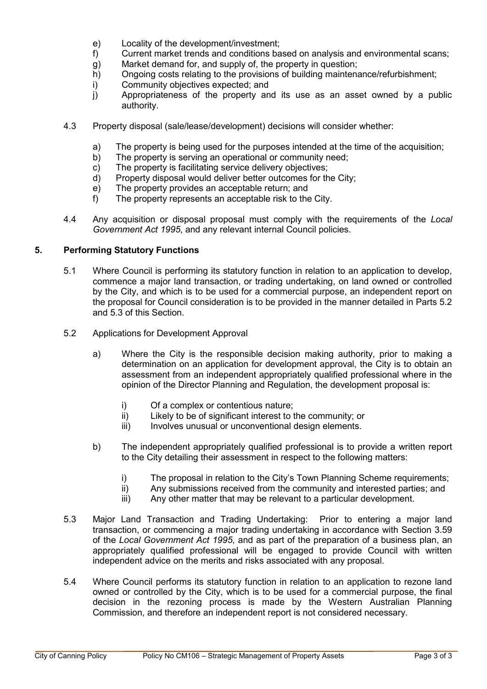- e) Locality of the development/investment;
- f) Current market trends and conditions based on analysis and environmental scans;
- g) Market demand for, and supply of, the property in question;
- h) Ongoing costs relating to the provisions of building maintenance/refurbishment;
- i) Community objectives expected; and
- j) Appropriateness of the property and its use as an asset owned by a public authority.
- 4.3 Property disposal (sale/lease/development) decisions will consider whether:
	- a) The property is being used for the purposes intended at the time of the acquisition;
	- b) The property is serving an operational or community need;
	- c) The property is facilitating service delivery objectives;
	- d) Property disposal would deliver better outcomes for the City;
	- e) The property provides an acceptable return; and
	- f) The property represents an acceptable risk to the City.
- 4.4 Any acquisition or disposal proposal must comply with the requirements of the *Local Government Act 1995*, and any relevant internal Council policies.

# **5. Performing Statutory Functions**

- 5.1 Where Council is performing its statutory function in relation to an application to develop, commence a major land transaction, or trading undertaking, on land owned or controlled by the City, and which is to be used for a commercial purpose, an independent report on the proposal for Council consideration is to be provided in the manner detailed in Parts 5.2 and 5.3 of this Section.
- 5.2 Applications for Development Approval
	- a) Where the City is the responsible decision making authority, prior to making a determination on an application for development approval, the City is to obtain an assessment from an independent appropriately qualified professional where in the opinion of the Director Planning and Regulation, the development proposal is:
		- i) Of a complex or contentious nature;
		- ii) Likely to be of significant interest to the community; or<br>iii) lnyolves unusual or unconventional design elements.
		- Involves unusual or unconventional design elements.
	- b) The independent appropriately qualified professional is to provide a written report to the City detailing their assessment in respect to the following matters:
		- i) The proposal in relation to the City's Town Planning Scheme requirements;<br>ii) Any submissions received from the community and interested parties; and
		- Any submissions received from the community and interested parties; and
		- iii) Any other matter that may be relevant to a particular development.
- 5.3 Major Land Transaction and Trading Undertaking: Prior to entering a major land transaction, or commencing a major trading undertaking in accordance with Section 3.59 of the *Local Government Act 1995*, and as part of the preparation of a business plan, an appropriately qualified professional will be engaged to provide Council with written independent advice on the merits and risks associated with any proposal.
- 5.4 Where Council performs its statutory function in relation to an application to rezone land owned or controlled by the City, which is to be used for a commercial purpose, the final decision in the rezoning process is made by the Western Australian Planning Commission, and therefore an independent report is not considered necessary.